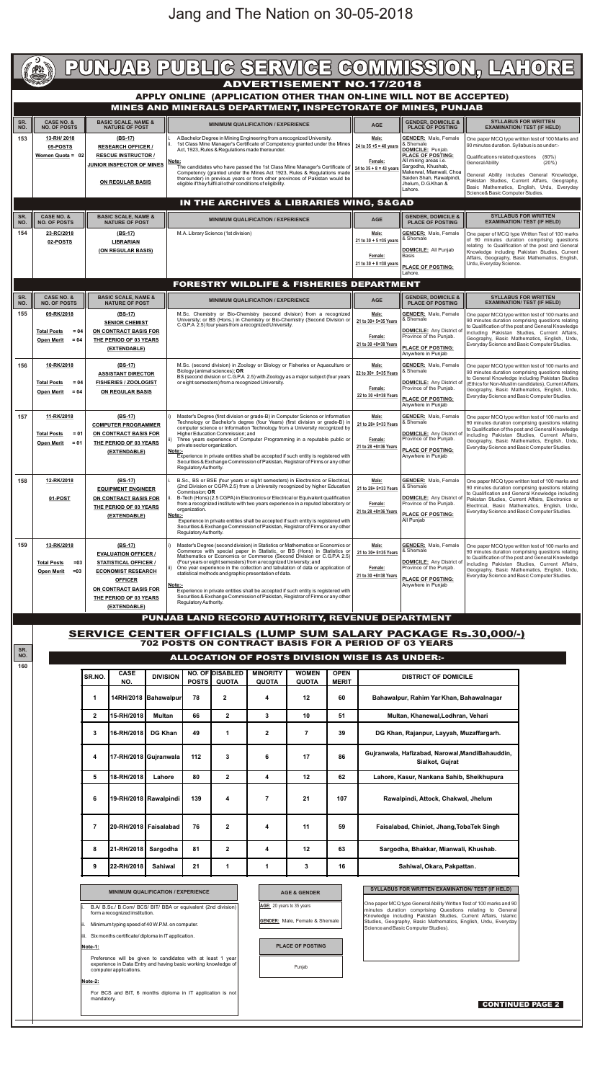**OFFICER ON CONTRACT BASIS FOR THE PERIOD OF 03 YEARS (EXTENDABLE)**

statistical methods and graphic presentation of data. **Note:-**

Experience in private entities shall be accepted if such entity is registered with Securities & Exchange Commission of Pakistan, Registrar of Firms or any other Regulatory Authority.

B.A/ B.Sc./ B.Com/ BCS/ BIT/ BBA or equivalent (2nd division) form a recognized institution.

Preference will be given to candidates with at least 1 year experience in Data Entry and having basic working knowledge of computer applications.

### MINIMUM QUALIFICATION / EXPERIENCE **SYLLABUS FOR WRITTEN EXAMINATION/ TEST** (IF HELD)

One paper MCQ type General Ability Written Test of 100 marks and 90 minutes duration comprising Questions relating to General Knowledge including Pakistan Studies, Current Affairs, Islamic Studies, Geography, Basic Mathematics, English, Urdu, Everyday Science and Basic Computer Studies).

| PUNJAB PUBLIG SERVIGE GOMMISSION, LAHORE<br><b>COLLE</b><br><b>PPSD</b><br><b>ADVERTISEMENT NO.17/2018</b> |                                                                            |                                                                                                                                                                                                                                                                                                                                                                                                                                                                                                                                                                                                                                                                                                  |                                                                                                                                                                                                                                                                                                                                                                                                                                                                                                                                                                                                      |                                                                            |                                                                                                                                                                                                                                |                                                                                                                                                                                                                                                                                                                           |  |  |  |  |  |
|------------------------------------------------------------------------------------------------------------|----------------------------------------------------------------------------|--------------------------------------------------------------------------------------------------------------------------------------------------------------------------------------------------------------------------------------------------------------------------------------------------------------------------------------------------------------------------------------------------------------------------------------------------------------------------------------------------------------------------------------------------------------------------------------------------------------------------------------------------------------------------------------------------|------------------------------------------------------------------------------------------------------------------------------------------------------------------------------------------------------------------------------------------------------------------------------------------------------------------------------------------------------------------------------------------------------------------------------------------------------------------------------------------------------------------------------------------------------------------------------------------------------|----------------------------------------------------------------------------|--------------------------------------------------------------------------------------------------------------------------------------------------------------------------------------------------------------------------------|---------------------------------------------------------------------------------------------------------------------------------------------------------------------------------------------------------------------------------------------------------------------------------------------------------------------------|--|--|--|--|--|
| APPLY ONLINE (APPLICATION OTHER THAN ON-LINE WILL NOT BE ACCEPTED)                                         |                                                                            |                                                                                                                                                                                                                                                                                                                                                                                                                                                                                                                                                                                                                                                                                                  |                                                                                                                                                                                                                                                                                                                                                                                                                                                                                                                                                                                                      |                                                                            |                                                                                                                                                                                                                                |                                                                                                                                                                                                                                                                                                                           |  |  |  |  |  |
| MINES AND MINERALS DEPARTMENT, INSPECTORATE OF MINES, PUNJAB                                               |                                                                            |                                                                                                                                                                                                                                                                                                                                                                                                                                                                                                                                                                                                                                                                                                  |                                                                                                                                                                                                                                                                                                                                                                                                                                                                                                                                                                                                      |                                                                            |                                                                                                                                                                                                                                |                                                                                                                                                                                                                                                                                                                           |  |  |  |  |  |
| SR.<br>NO.                                                                                                 | <b>CASE NO. &amp;</b><br><b>NO. OF POSTS</b>                               | <b>BASIC SCALE, NAME &amp;</b><br><b>NATURE OF POST</b>                                                                                                                                                                                                                                                                                                                                                                                                                                                                                                                                                                                                                                          | <b>MINIMUM QUALIFICATION / EXPERIENCE</b>                                                                                                                                                                                                                                                                                                                                                                                                                                                                                                                                                            | <b>AGE</b>                                                                 | <b>GENDER, DOMICILE &amp;</b><br><b>PLACE OF POSTING</b>                                                                                                                                                                       | <b>SYLLABUS FOR WRITTEN</b><br><b>EXAMINATION/ TEST (IF HELD)</b>                                                                                                                                                                                                                                                         |  |  |  |  |  |
| 153                                                                                                        | 13-RH/2018<br>05-POSTS<br>Women Quota = $02$                               | $(BS-17)$<br><b>RESEARCH OFFICER /</b><br><b>RESCUE INSTRUCTOR /</b><br><b>JUNIOR INSPECTOR OF MINES</b><br><b>ON REGULAR BASIS</b>                                                                                                                                                                                                                                                                                                                                                                                                                                                                                                                                                              | A Bachelor Degree in Mining Engineering from a recognized University.<br>1st Class Mine Manager's Certificate of Competency granted under the Mines<br>Act, 1923, Rules & Regulations made thereunder.<br>Note:<br>The candidates who have passed the 1st Class Mine Manager's Certificate of<br>Competency (granted under the Mines Act 1923, Rules & Regulations made<br>thereunder) in previous years or from other provinces of Pakistan would be<br>eligible if they fulfil all other conditions of eligibility.                                                                                | Male:<br>24 to $35 + 5 = 40$ years<br>Female:<br>24 to $35 + 8 = 43$ year  | <b>GENDER: Male, Female</b><br>8. Shemale<br><b>DOMICILE:</b> Punjab.<br><b>PLACE OF POSTING:</b><br>All mining areas i.e.<br>Sargodha, Khushab,<br>Makerwal, Mianwali, Choa<br>Saiden Shah, Rawalpindi,<br>Jhelum, D.G.Khan & | One paper MCQ type written test of 100 Marks and<br>90 minutes duration. Syllabus is as under:-<br>Qualifications related questions<br>$(80\%)$<br>General Ability<br>(20%)<br>General Ability includes General Knowledge,<br>Pakistan Studies, Current Affairs, Geography,<br>Basic Mathematics, English, Urdu, Everyday |  |  |  |  |  |
|                                                                                                            |                                                                            |                                                                                                                                                                                                                                                                                                                                                                                                                                                                                                                                                                                                                                                                                                  | IN THE ARCHIVES & LIBRARIES WING, S&GAD                                                                                                                                                                                                                                                                                                                                                                                                                                                                                                                                                              |                                                                            | Lahore.                                                                                                                                                                                                                        | Science& Basic Computer Studies.                                                                                                                                                                                                                                                                                          |  |  |  |  |  |
| SR.                                                                                                        | <b>CASE NO. &amp;</b>                                                      | <b>BASIC SCALE, NAME &amp;</b>                                                                                                                                                                                                                                                                                                                                                                                                                                                                                                                                                                                                                                                                   |                                                                                                                                                                                                                                                                                                                                                                                                                                                                                                                                                                                                      |                                                                            | <b>GENDER, DOMICILE &amp;</b>                                                                                                                                                                                                  | <b>SYLLABUS FOR WRITTEN</b>                                                                                                                                                                                                                                                                                               |  |  |  |  |  |
| NO.                                                                                                        | <b>NO. OF POSTS</b>                                                        | <b>NATURE OF POST</b>                                                                                                                                                                                                                                                                                                                                                                                                                                                                                                                                                                                                                                                                            | <b>MINIMUM QUALIFICATION / EXPERIENCE</b>                                                                                                                                                                                                                                                                                                                                                                                                                                                                                                                                                            | <b>AGE</b>                                                                 | <b>PLACE OF POSTING</b>                                                                                                                                                                                                        | <b>EXAMINATION/ TEST (IF HELD)</b>                                                                                                                                                                                                                                                                                        |  |  |  |  |  |
| 154                                                                                                        | 23-RC/2018<br>02-POSTS                                                     | $(BS-17)$<br><b>LIBRARIAN</b><br>(ON REGULAR BASIS)                                                                                                                                                                                                                                                                                                                                                                                                                                                                                                                                                                                                                                              | M.A. Library Science (1st division)                                                                                                                                                                                                                                                                                                                                                                                                                                                                                                                                                                  | Male:<br>21 to $30 + 5 = 35$ years<br>Female:<br>21 to $30 + 8 = 38$ years | <b>GENDER: Male, Female</b><br>8. Shemale<br>DOMICILE: All Punjab<br>Basis<br>PLACE OF POSTING:<br>Lahore.                                                                                                                     | One paper of MCQ type Written Test of 100 marks<br>of 90 minutes duration comprising questions<br>relating to Qualification of the post and General<br>Knowledge including Pakistan Studies, Current<br>Affairs, Geography, Basic Mathematics, English,<br>Urdu, Everyday Science.                                        |  |  |  |  |  |
|                                                                                                            | <b>FORESTRY WILDLIFE &amp; FISHERIES DEPARTMENT</b>                        |                                                                                                                                                                                                                                                                                                                                                                                                                                                                                                                                                                                                                                                                                                  |                                                                                                                                                                                                                                                                                                                                                                                                                                                                                                                                                                                                      |                                                                            |                                                                                                                                                                                                                                |                                                                                                                                                                                                                                                                                                                           |  |  |  |  |  |
| SR.<br>NO.                                                                                                 | <b>CASE NO. &amp;</b><br><b>NO. OF POSTS</b>                               | <b>BASIC SCALE, NAME &amp;</b><br><b>NATURE OF POST</b>                                                                                                                                                                                                                                                                                                                                                                                                                                                                                                                                                                                                                                          | <b>MINIMUM QUALIFICATION / EXPERIENCE</b>                                                                                                                                                                                                                                                                                                                                                                                                                                                                                                                                                            | <b>AGE</b>                                                                 | <b>GENDER, DOMICILE &amp;</b><br><b>PLACE OF POSTING</b>                                                                                                                                                                       | <b>SYLLABUS FOR WRITTEN</b><br><b>EXAMINATION/ TEST (IF HELD)</b>                                                                                                                                                                                                                                                         |  |  |  |  |  |
| 155                                                                                                        | 09-RK/2018<br><b>Total Posts</b><br>$= 04$<br><b>Open Merit</b><br>$= 04$  | $(BS-17)$<br><b>SENIOR CHEMIST</b><br>ON CONTRACT BASIS FOR<br>THE PERIOD OF 03 YEARS<br>(EXTENDABLE)                                                                                                                                                                                                                                                                                                                                                                                                                                                                                                                                                                                            | M.Sc. Chemistry or Bio-Chemistry (second division) from a recognized<br>University; or BS (Hons.) in Chemistry or Bio-Chemistry (Second Division or<br>C.G.P.A 2.5) four years from a recognized University.                                                                                                                                                                                                                                                                                                                                                                                         | Male:<br>21 to 30+ 5=35 Years<br>Female:<br>21 to 30 +8=38 Years           | <b>GENDER: Male, Female</b><br>& Shemale<br>DOMICILE: Any District of<br>Province of the Punjab.<br><b>PLACE OF POSTING:</b><br>Anywhere in Punjab                                                                             | One paper MCQ type written test of 100 marks and<br>90 minutes duration comprising questions relating<br>to Qualification of the post and General Knowledge<br>including Pakistan Studies, Current Affairs,<br>Geography, Basic Mathematics, English, Urdu,<br>Everyday Science and Basic Computer Studies.               |  |  |  |  |  |
| 156                                                                                                        | 10-RK/2018<br>$= 04$<br><b>Total Posts</b><br><b>Open Merit</b><br>$= 04$  | $(BS-17)$<br><b>ASSISTANT DIRECTOR</b><br><b>FISHERIES / ZOOLOGIST</b><br><b>ON REGULAR BASIS</b>                                                                                                                                                                                                                                                                                                                                                                                                                                                                                                                                                                                                | M.Sc. (second division) in Zoology or Biology or Fisheries or Aquaculture or<br>Biology (animal sciences); OR<br>BS (second division or C.G.P.A 2.5) with Zoology as a major subject (four years<br>or eight semesters) from a recognized University.                                                                                                                                                                                                                                                                                                                                                | Male:<br>22 to 30+ 5=35 Years<br>Female:<br>22 to 30 +8=38 Years           | <b>GENDER: Male, Female</b><br>& Shemale<br><b>DOMICILE:</b> Any District of<br>Province of the Punjab.<br>PLACE OF POSTING:<br>Anywhere in Punjab                                                                             | One paper MCQ type written test of 100 marks and<br>90 minutes duration comprising questions relating<br>to General Knowledge including Pakistan Studies<br>(Ethics for Non-Muslim candidates), Current Affairs,<br>Geography, Basic Mathematics, English, Urdu,<br>Everyday Science and Basic Computer Studies.          |  |  |  |  |  |
| 157                                                                                                        | 11-RK/2018<br><b>Total Posts</b><br>= 01<br><b>Open Merit</b><br>$= 01$    | (BS-17)<br><b>COMPUTER PROGRAMMER</b><br>ON CONTRACT BASIS FOR<br>THE PERIOD OF 03 YEARS<br>(EXTENDABLE)                                                                                                                                                                                                                                                                                                                                                                                                                                                                                                                                                                                         | Master's Degree (first division or grade-B) in Computer Science or Information<br>Technology or Bachelor's degree (four Years) (first division or grade-B) in<br>computer science or Information Technology from a University recognized by<br>Higher Education Commission; and<br>Three years experience of Computer Programming in a reputable public or<br>private sector organization.<br>Note:-<br>Experience in private entities shall be accepted if such entity is registered with<br>Securities & Exchange Commission of Pakistan, Registrar of Firms or any other<br>Regulatory Authority. | Male:<br>21 to 28+ 5=33 Years<br>Female:<br>21 to 28 +8=36 Years           | <b>GENDER: Male, Female</b><br>8. Shemale<br><b>DOMICILE:</b> Any District of<br>Province of the Punjab.<br><b>PLACE OF POSTING:</b><br>Anywhere in Punjab                                                                     | One paper MCQ type written test of 100 marks and<br>90 minutes duration comprising questions relating<br>to Qualification of the post and General Knowledge<br>including Pakistan Studies, Current Affairs,<br>Geography, Basic Mathematics, English, Urdu,<br>Everyday Science and Basic Computer Studies.               |  |  |  |  |  |
| 158                                                                                                        | 12-RK/2018<br>01-POST                                                      | $(BS-17)$<br>B.Sc., BS or BSE (four years or eight semesters) in Electronics or Electrical,<br>(2nd Division or CGPA 2.5) from a University recognized by higher Education<br><b>EQUIPMENT ENGINEER</b><br>Commission: OR<br>B-Tech (Hons) (2.5 CGPA) in Electronics or Electrical or Equivalent qualification<br>ON CONTRACT BASIS FOR<br>from a recognized institute with two years experience in a reputed laboratory or<br>THE PERIOD OF 03 YEARS<br>organization.<br>Note:-<br>(EXTENDABLE)<br>Experience in private entities shall be accepted if such entity is registered with<br>Securities & Exchange Commission of Pakistan, Registrar of Firms or any other<br>Regulatory Authority. |                                                                                                                                                                                                                                                                                                                                                                                                                                                                                                                                                                                                      | Male:<br>21 to 28+ 5=33 Years<br>Female:<br>21 to 28 +8=36 Years           | <b>GENDER: Male, Female</b><br>& Shemale<br><b>DOMICILE: Any District of</b><br>Province of the Punjab.<br>PLACE OF POSTING:<br>All Punjab                                                                                     | One paper MCQ type written test of 100 marks and<br>90 minutes duration comprising questions relating<br>to Qualification and General Knowledge including<br>Pakistan Studies, Current Affairs, Electronics or<br>Electrical, Basic Mathematics, English, Urdu,<br>Everyday Science and Basic Computer Studies.           |  |  |  |  |  |
| 159                                                                                                        | 13-RK/2018<br>$= 03$<br><b>Total Posts</b><br><b>Open Merit</b><br>$= 0.3$ | (BS-17)<br><b>EVALUATION OFFICER /</b><br><b>STATISTICAL OFFICER /</b><br><b>ECONOMIST RESEARCH</b>                                                                                                                                                                                                                                                                                                                                                                                                                                                                                                                                                                                              | Master's Degree (second division) in Statistics or Mathematics or Economics or<br>Commerce with special paper in Statistic, or BS (Hons) in Statistics or<br>Mathematics or Economics or Commerce (Second Division or C.G.P.A 2.5)<br>(Four years or eight semesters) from a recognized University; and<br>One year experience in the collection and tabulation of data or application of<br>etatietical mothods and graphic procontation of data                                                                                                                                                    | Male:<br>21 to 30+ 5=35 Years<br>Female:                                   | <b>GENDER: Male, Female</b><br>& Shemale<br><b>DOMICILE:</b> Any District of<br>Province of the Punjab.                                                                                                                        | One paper MCQ type written test of 100 marks and<br>90 minutes duration comprising questions relating<br>to Qualification of the post and General Knowledge<br>including Pakistan Studies, Current Affairs,<br>Geography, Basic Mathematics, English, Urdu,                                                               |  |  |  |  |  |

**PLACE OF POSTING:** Anywhere in Punjab **21 to 30 +8=38 Years**

Everyday Science and Basic Computer Studies.

## **PUNJAB LAND RECORD AUTHORITY, REVENUE DEPARTMENT**

### **ALLOCATION OF POSTS DIVISION WISE IS AS UNDER:-**

### SERVICE CENTER OFFICIALS (LUMP SUM SALARY PACKAGE Rs.30,000/-) 702 POSTS ON CONTRACT BASIS FOR A PERIOD OF 03 YEARS

| SR.NO.                  | <b>CASE</b><br>NO. | <b>DIVISION</b>        | <b>POSTS</b> | NO. OF DISABLED<br><b>QUOTA</b> | <b>MINORITY</b><br><b>QUOTA</b> | <b>WOMEN</b><br><b>QUOTA</b> | <b>OPEN</b><br><b>MERIT</b> | <b>DISTRICT OF DOMICILE</b>                                         |
|-------------------------|--------------------|------------------------|--------------|---------------------------------|---------------------------------|------------------------------|-----------------------------|---------------------------------------------------------------------|
| $\mathbf 1$             |                    | 14RH/2018   Bahawalpur | 78           | $\overline{2}$                  | 4                               | 12                           | 60                          | Bahawalpur, Rahim Yar Khan, Bahawalnagar                            |
| $\mathbf{2}$            | 15-RH/2018         | <b>Multan</b>          | 66           | $\mathbf 2$                     | 3                               | 10                           | 51                          | Multan, Khanewal, Lodhran, Vehari                                   |
| 3                       | 16-RH/2018         | <b>DG Khan</b>         | 49           | 1                               | $\mathbf 2$                     | 7                            | 39                          | DG Khan, Rajanpur, Layyah, Muzaffargarh.                            |
| $\overline{\mathbf{4}}$ |                    | 17-RH/2018 Gujranwala  | 112          | 3                               | 6                               | 17                           | 86                          | Gujranwala, Hafizabad, Narowal, Mandi Bahauddin,<br>Sialkot, Gujrat |
| 5                       | 18-RH/2018         | Lahore                 | 80           | $\mathbf 2$                     | 4                               | 12                           | 62                          | Lahore, Kasur, Nankana Sahib, Sheikhupura                           |
| 6                       |                    | 19-RH/2018 Rawalpindi  | 139          | 4                               | 7                               | 21                           | 107                         | Rawalpindi, Attock, Chakwal, Jhelum                                 |
| $\overline{7}$          |                    | 20-RH/2018 Faisalabad  | 76           | $\mathbf 2$                     | 4                               | 11                           | 59                          | Faisalabad, Chiniot, Jhang, TobaTek Singh                           |
| 8                       | 21-RH/2018         | Sargodha               | 81           | $\mathbf 2$                     | 4                               | 12                           | 63                          | Sargodha, Bhakkar, Mianwali, Khushab.                               |
| $\boldsymbol{9}$        | 22-RH/2018         | <b>Sahiwal</b>         | 21           | 1                               | 1                               | 3                            | 16                          | Sahiwal, Okara, Pakpattan.                                          |

ii. Minimum typing speed of 40 W.P.M. on computer.

iii. Six months certificate/ diploma in IT application.

### **Note-1:**

**Note-2:**

For BCS and BIT, 6 months diploma in IT application is not mandatory.

**AGE & GENDER**

**PLACE OF POSTING**

**AGE:** 20 years to 35 years

**GENDER:** Male, Female & Shemale

Punjab

### **CONTINUED PAGE 2**

# Jang and The Nation on 30-05-2018